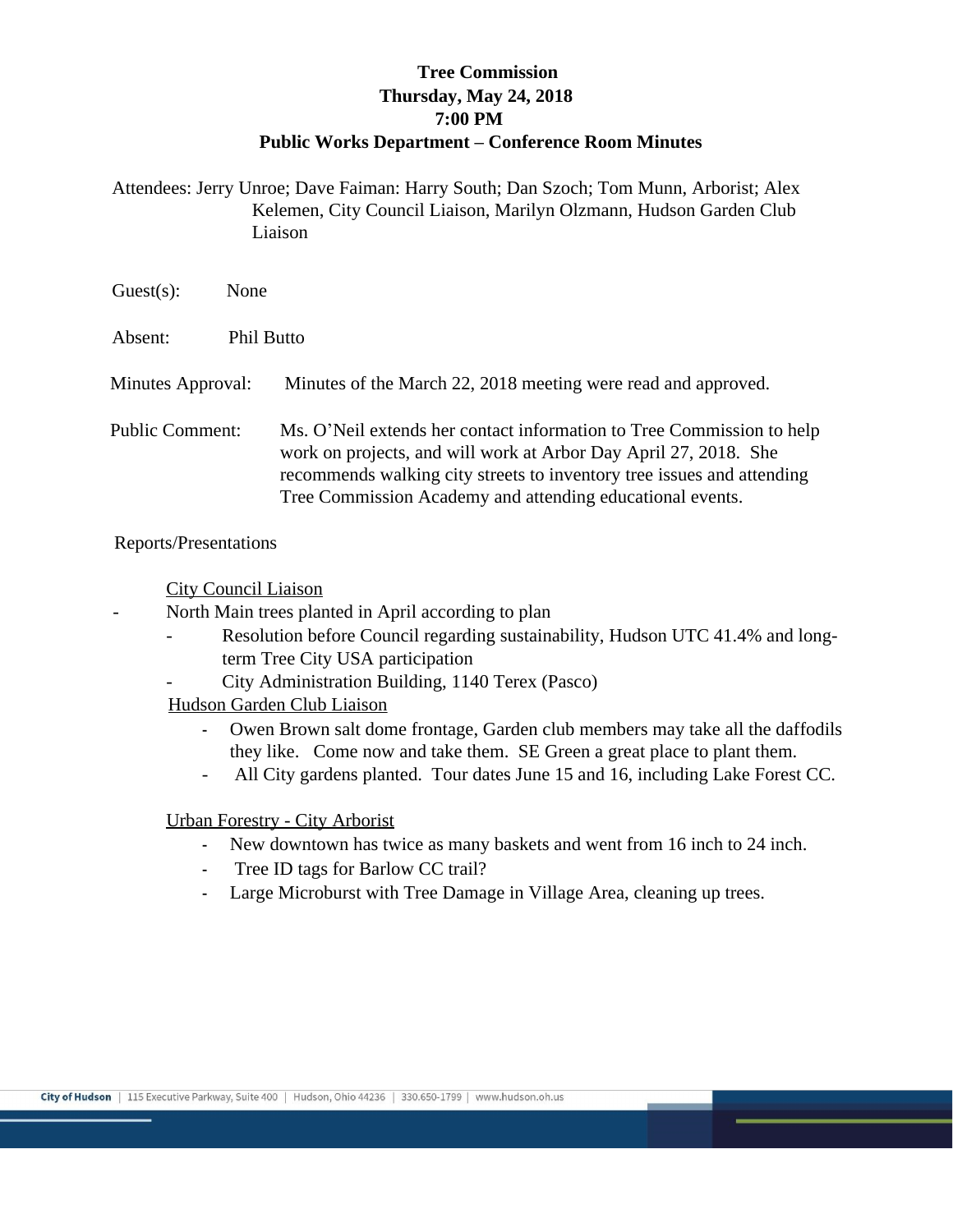## **Tree Commission Thursday, May 24, 2018 7:00 PM Public Works Department – Conference Room Minutes**

Attendees: Jerry Unroe; Dave Faiman: Harry South; Dan Szoch; Tom Munn, Arborist; Alex Kelemen, City Council Liaison, Marilyn Olzmann, Hudson Garden Club Liaison

| $Guest(s)$ :           | None              |                                                                                                                                                                                                                                                                                  |
|------------------------|-------------------|----------------------------------------------------------------------------------------------------------------------------------------------------------------------------------------------------------------------------------------------------------------------------------|
| Absent:                | <b>Phil Butto</b> |                                                                                                                                                                                                                                                                                  |
| Minutes Approval:      |                   | Minutes of the March 22, 2018 meeting were read and approved.                                                                                                                                                                                                                    |
| <b>Public Comment:</b> |                   | Ms. O'Neil extends her contact information to Tree Commission to help<br>work on projects, and will work at Arbor Day April 27, 2018. She<br>recommends walking city streets to inventory tree issues and attending<br>Tree Commission Academy and attending educational events. |

Reports/Presentations

City Council Liaison

North Main trees planted in April according to plan

- Resolution before Council regarding sustainability, Hudson UTC 41.4% and longterm Tree City USA participation
- City Administration Building, 1140 Terex (Pasco)

Hudson Garden Club Liaison

- Owen Brown salt dome frontage, Garden club members may take all the daffodils they like. Come now and take them. SE Green a great place to plant them.
- All City gardens planted. Tour dates June 15 and 16, including Lake Forest CC.

## Urban Forestry - City Arborist

- New downtown has twice as many baskets and went from 16 inch to 24 inch.
- Tree ID tags for Barlow CC trail?
- Large Microburst with Tree Damage in Village Area, cleaning up trees.